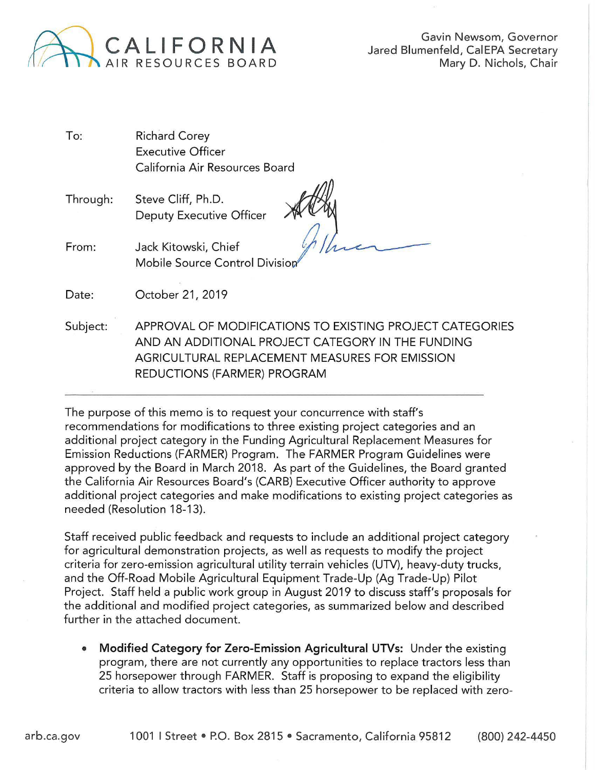

Gavin Newsom, Governor Jared Blumenfeld, CalEPA Secretary Mary D. Nichols, Chair

- To: Richard Corey Executive Officer California Air Resources Board
- Through: Steve Cliff, Ph.D. Deputy Executive Officer

*(2* <sup>1</sup> *ft,,,"",.\_...--'------* , .

From: Jack Kitowski, Chief Mobile Source Control Divisiop

Date: October 21, 2019

Subject: APPROVAL OF MODIFICATIONS TO EXISTING PROJECT CATEGORIES AND AN ADDITIONAL PROJECT CATEGORY IN THE FUNDING AGRICULTURAL REPLACEMENT MEASURES FOR EMISSION REDUCTIONS (FARMER) PROGRAM

The purpose of this memo is to request your concurrence with staff's recommendations for modifications to three existing project categories and an additional project category in the Funding Agricultural Replacement Measures for Emission Reductions (FARMER) Program. The FARMER Program Guidelines were approved by the Board in March 2018. As part of the Guidelines, the Board granted the California Air Resources Board's (CARB) Executive Officer authority to approve additional project categories and make modifications to existing project categories as needed (Resolution 18-13).

Staff received public feedback and requests to include an additional project category for agricultural demonstration projects, as well as requests to modify the project criteria for zero-emission agricultural utility terrain vehicles (UTV), heavy-duty trucks, and the Off-Road Mobile Agricultural Equipment Trade-Up (Ag Trade-Up) Pilot Project. Staff held a public work group in August 2019 to discuss staff's proposals for the additional and modified project categories, as summarized below and described further in the attached document.

• **Modified Category for Zero-Emission Agricultural UTVs:** Under the existing program, there are not currently any opportunities to replace tractors less than 25 horsepower through FARMER. Staff is proposing to expand the eligibility criteria to allow tractors with less than 25 horsepower to be replaced with zero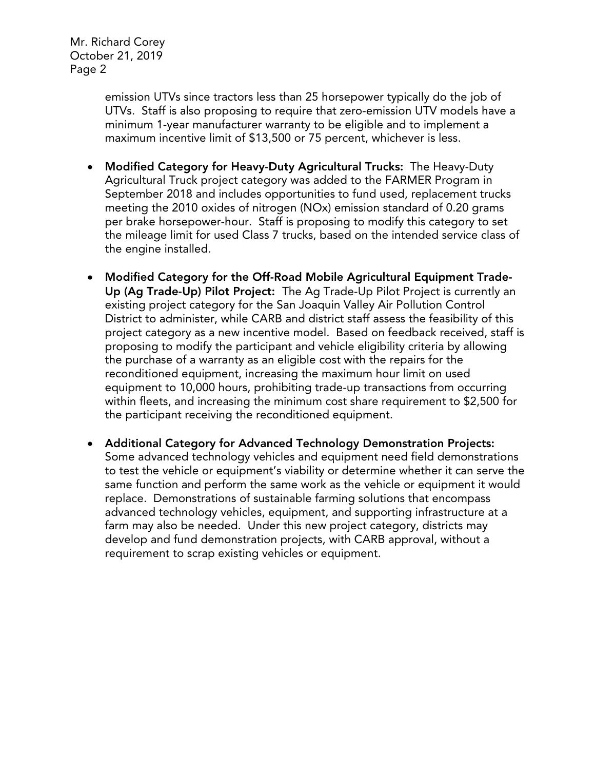Mr. Richard Corey October 21, 2019 Page 2

> emission UTVs since tractors less than 25 horsepower typically do the job of UTVs. Staff is also proposing to require that zero-emission UTV models have a minimum 1-year manufacturer warranty to be eligible and to implement a maximum incentive limit of \$13,500 or 75 percent, whichever is less.

- Modified Category for Heavy-Duty Agricultural Trucks: The Heavy-Duty Agricultural Truck project category was added to the FARMER Program in September 2018 and includes opportunities to fund used, replacement trucks meeting the 2010 oxides of nitrogen (NOx) emission standard of 0.20 grams per brake horsepower-hour. Staff is proposing to modify this category to set the mileage limit for used Class 7 trucks, based on the intended service class of the engine installed.
- Modified Category for the Off-Road Mobile Agricultural Equipment Trade-Up (Ag Trade-Up) Pilot Project: The Ag Trade-Up Pilot Project is currently an existing project category for the San Joaquin Valley Air Pollution Control District to administer, while CARB and district staff assess the feasibility of this project category as a new incentive model. Based on feedback received, staff is proposing to modify the participant and vehicle eligibility criteria by allowing the purchase of a warranty as an eligible cost with the repairs for the reconditioned equipment, increasing the maximum hour limit on used equipment to 10,000 hours, prohibiting trade-up transactions from occurring within fleets, and increasing the minimum cost share requirement to \$2,500 for the participant receiving the reconditioned equipment.
- Additional Category for Advanced Technology Demonstration Projects: Some advanced technology vehicles and equipment need field demonstrations to test the vehicle or equipment's viability or determine whether it can serve the same function and perform the same work as the vehicle or equipment it would replace. Demonstrations of sustainable farming solutions that encompass advanced technology vehicles, equipment, and supporting infrastructure at a farm may also be needed. Under this new project category, districts may develop and fund demonstration projects, with CARB approval, without a requirement to scrap existing vehicles or equipment.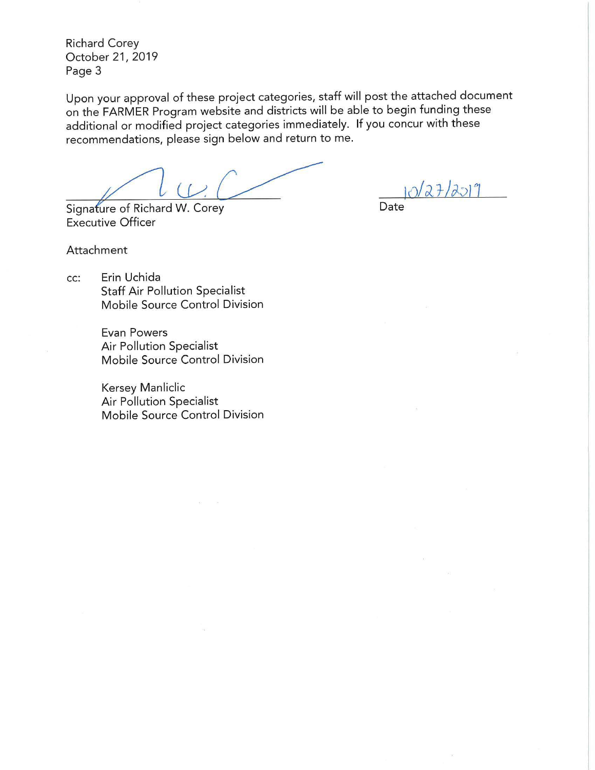Richard Corey October 21, 2019 Page 3

Upon your approval of these project categories, staff will post the attached document on the FARMER Program website and districts will be able to begin funding these additional or modified project categories immediately. If you concur with these recommendations, please sign below and return to me.

Signature of Richard W. Corey

 $10272772019$ Date

Executive Officer

Attachment

cc: Erin Uchida Staff Air Pollution Specialist Mobile Source Control Division

> Evan Powers Air Pollution Specialist Mobile Source Control Division

> Kersey Manliclic Air Pollution Specialist Mobile Source Control Division

> > $\sim 10$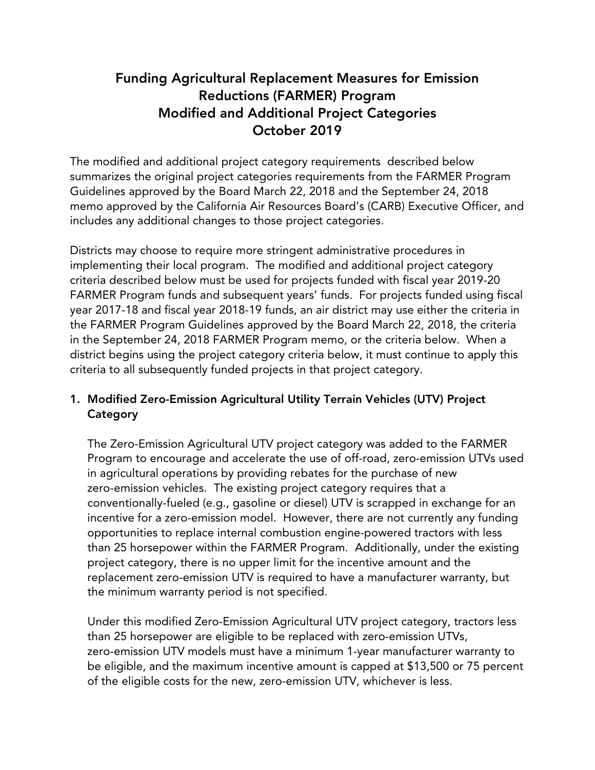# Funding Agricultural Replacement Measures for Emission Reductions (FARMER) Program Modified and Additional Project Categories October 2019

The modified and additional project category requirements described below summarizes the original project categories requirements from the FARMER Program Guidelines approved by the Board March 22, 2018 and the September 24, 2018 memo approved by the California Air Resources Board's (CARB) Executive Officer, and includes any additional changes to those project categories.

Districts may choose to require more stringent administrative procedures in implementing their local program. The modified and additional project category criteria described below must be used for projects funded with fiscal year 2019-20 FARMER Program funds and subsequent years' funds. For projects funded using fiscal year 2017-18 and fiscal year 2018-19 funds, an air district may use either the criteria in the FARMER Program Guidelines approved by the Board March 22, 2018, the criteria in the September 24, 2018 FARMER Program memo, or the criteria below. When a district begins using the project category criteria below, it must continue to apply this criteria to all subsequently funded projects in that project category.

# 1. Modified Zero-Emission Agricultural Utility Terrain Vehicles (UTV) Project **Category**

The Zero-Emission Agricultural UTV project category was added to the FARMER Program to encourage and accelerate the use of off-road, zero-emission UTVs used in agricultural operations by providing rebates for the purchase of new zero-emission vehicles. The existing project category requires that a conventionally-fueled (e.g., gasoline or diesel) UTV is scrapped in exchange for an incentive for a zero-emission model. However, there are not currently any funding opportunities to replace internal combustion engine-powered tractors with less than 25 horsepower within the FARMER Program. Additionally, under the existing project category, there is no upper limit for the incentive amount and the replacement zero-emission UTV is required to have a manufacturer warranty, but the minimum warranty period is not specified.

Under this modified Zero-Emission Agricultural UTV project category, tractors less than 25 horsepower are eligible to be replaced with zero-emission UTVs, zero-emission UTV models must have a minimum 1-year manufacturer warranty to be eligible, and the maximum incentive amount is capped at \$13,500 or 75 percent of the eligible costs for the new, zero-emission UTV, whichever is less.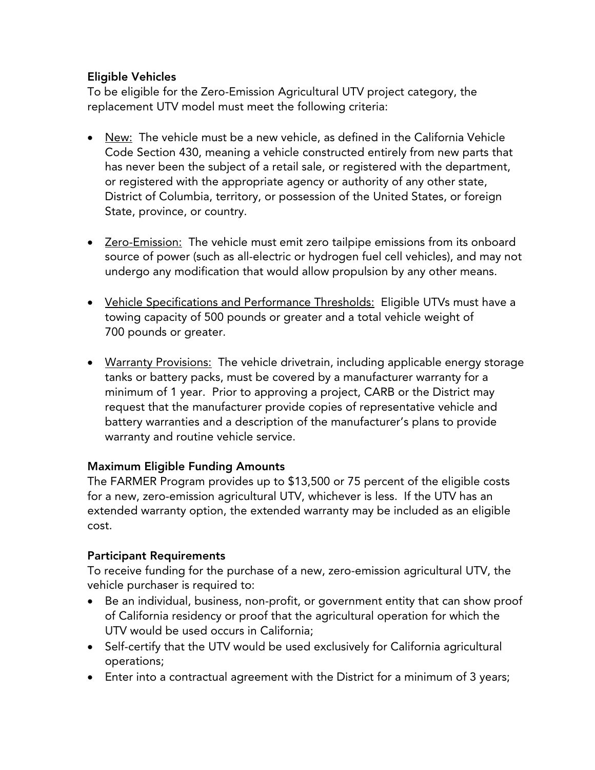#### Eligible Vehicles

To be eligible for the Zero-Emission Agricultural UTV project category, the replacement UTV model must meet the following criteria:

- New: The vehicle must be a new vehicle, as defined in the California Vehicle Code Section 430, meaning a vehicle constructed entirely from new parts that has never been the subject of a retail sale, or registered with the department, or registered with the appropriate agency or authority of any other state, District of Columbia, territory, or possession of the United States, or foreign State, province, or country.
- Zero-Emission: The vehicle must emit zero tailpipe emissions from its onboard source of power (such as all-electric or hydrogen fuel cell vehicles), and may not undergo any modification that would allow propulsion by any other means.
- Vehicle Specifications and Performance Thresholds: Eligible UTVs must have a towing capacity of 500 pounds or greater and a total vehicle weight of 700 pounds or greater.
- Warranty Provisions: The vehicle drivetrain, including applicable energy storage tanks or battery packs, must be covered by a manufacturer warranty for a minimum of 1 year. Prior to approving a project, CARB or the District may request that the manufacturer provide copies of representative vehicle and battery warranties and a description of the manufacturer's plans to provide warranty and routine vehicle service.

#### Maximum Eligible Funding Amounts

The FARMER Program provides up to \$13,500 or 75 percent of the eligible costs for a new, zero-emission agricultural UTV, whichever is less. If the UTV has an extended warranty option, the extended warranty may be included as an eligible cost.

## Participant Requirements

To receive funding for the purchase of a new, zero-emission agricultural UTV, the vehicle purchaser is required to:

- Be an individual, business, non-profit, or government entity that can show proof of California residency or proof that the agricultural operation for which the UTV would be used occurs in California;
- Self-certify that the UTV would be used exclusively for California agricultural operations;
- Enter into a contractual agreement with the District for a minimum of 3 years;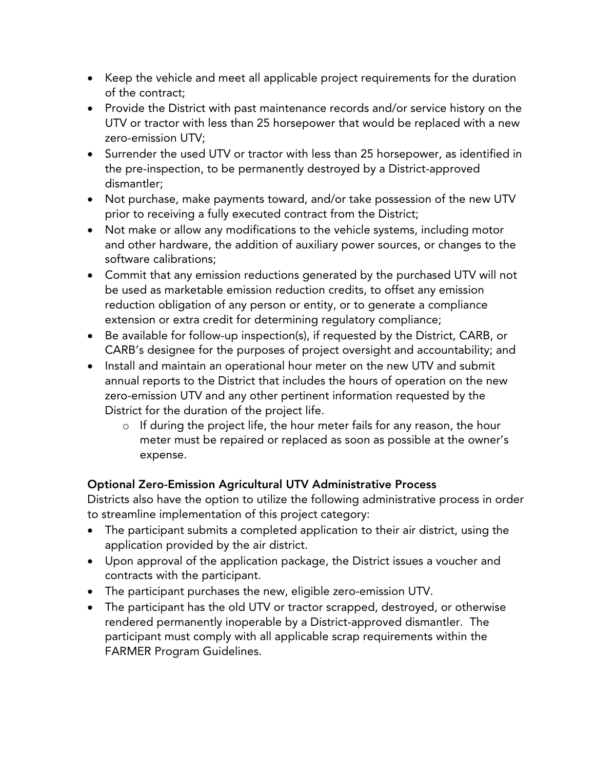- Keep the vehicle and meet all applicable project requirements for the duration of the contract;
- Provide the District with past maintenance records and/or service history on the UTV or tractor with less than 25 horsepower that would be replaced with a new zero-emission UTV;
- Surrender the used UTV or tractor with less than 25 horsepower, as identified in the pre-inspection, to be permanently destroyed by a District-approved dismantler;
- Not purchase, make payments toward, and/or take possession of the new UTV prior to receiving a fully executed contract from the District;
- Not make or allow any modifications to the vehicle systems, including motor and other hardware, the addition of auxiliary power sources, or changes to the software calibrations;
- Commit that any emission reductions generated by the purchased UTV will not be used as marketable emission reduction credits, to offset any emission reduction obligation of any person or entity, or to generate a compliance extension or extra credit for determining regulatory compliance;
- Be available for follow-up inspection(s), if requested by the District, CARB, or CARB's designee for the purposes of project oversight and accountability; and
- Install and maintain an operational hour meter on the new UTV and submit annual reports to the District that includes the hours of operation on the new zero-emission UTV and any other pertinent information requested by the District for the duration of the project life.
	- o If during the project life, the hour meter fails for any reason, the hour meter must be repaired or replaced as soon as possible at the owner's expense.

## Optional Zero-Emission Agricultural UTV Administrative Process

Districts also have the option to utilize the following administrative process in order to streamline implementation of this project category:

- The participant submits a completed application to their air district, using the application provided by the air district.
- Upon approval of the application package, the District issues a voucher and contracts with the participant.
- The participant purchases the new, eligible zero-emission UTV.
- The participant has the old UTV or tractor scrapped, destroyed, or otherwise rendered permanently inoperable by a District-approved dismantler. The participant must comply with all applicable scrap requirements within the FARMER Program Guidelines.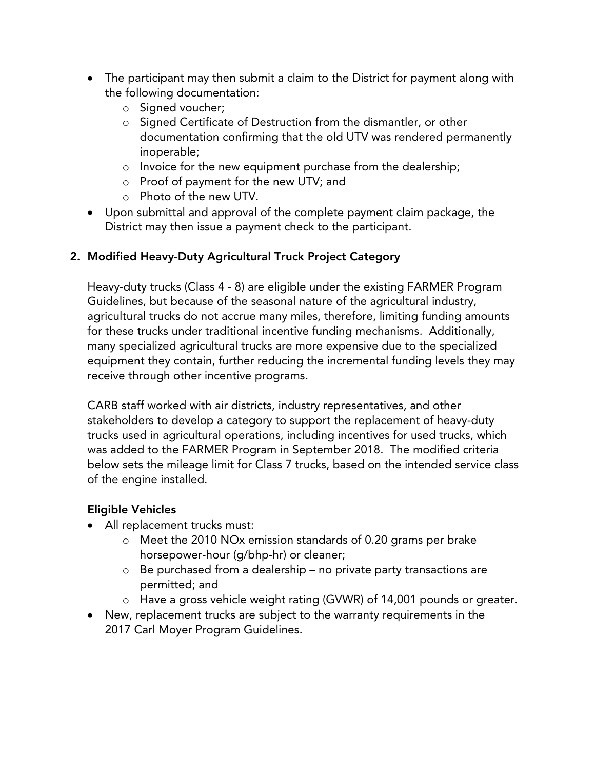- The participant may then submit a claim to the District for payment along with the following documentation:
	- o Signed voucher;
	- o Signed Certificate of Destruction from the dismantler, or other documentation confirming that the old UTV was rendered permanently inoperable;
	- o Invoice for the new equipment purchase from the dealership;
	- o Proof of payment for the new UTV; and
	- o Photo of the new UTV.
- Upon submittal and approval of the complete payment claim package, the District may then issue a payment check to the participant.

# 2. Modified Heavy-Duty Agricultural Truck Project Category

Heavy-duty trucks (Class 4 - 8) are eligible under the existing FARMER Program Guidelines, but because of the seasonal nature of the agricultural industry, agricultural trucks do not accrue many miles, therefore, limiting funding amounts for these trucks under traditional incentive funding mechanisms. Additionally, many specialized agricultural trucks are more expensive due to the specialized equipment they contain, further reducing the incremental funding levels they may receive through other incentive programs.

CARB staff worked with air districts, industry representatives, and other stakeholders to develop a category to support the replacement of heavy-duty trucks used in agricultural operations, including incentives for used trucks, which was added to the FARMER Program in September 2018. The modified criteria below sets the mileage limit for Class 7 trucks, based on the intended service class of the engine installed.

# Eligible Vehicles

- All replacement trucks must:
	- o Meet the 2010 NOx emission standards of 0.20 grams per brake horsepower-hour (g/bhp-hr) or cleaner;
	- o Be purchased from a dealership no private party transactions are permitted; and
	- o Have a gross vehicle weight rating (GVWR) of 14,001 pounds or greater.
- New, replacement trucks are subject to the warranty requirements in the 2017 Carl Moyer Program Guidelines.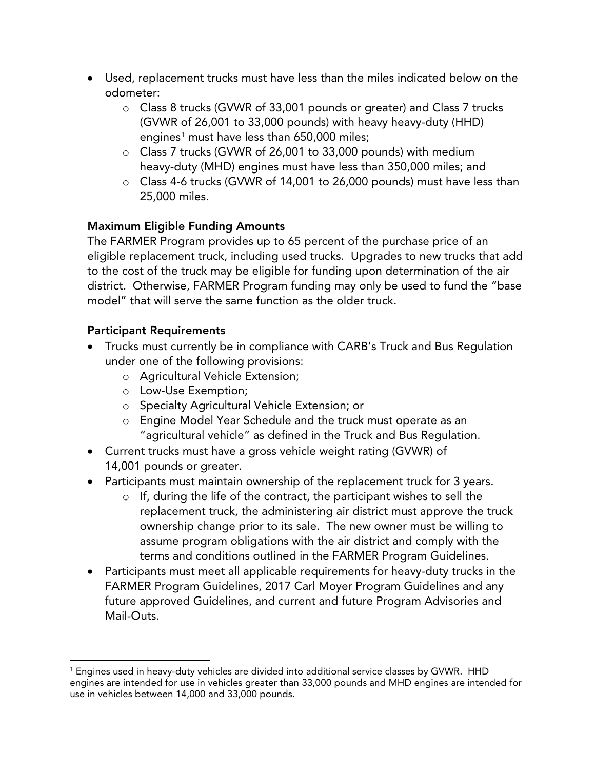- Used, replacement trucks must have less than the miles indicated below on the odometer:
	- o Class 8 trucks (GVWR of 33,001 pounds or greater) and Class 7 trucks (GVWR of 26,001 to 33,000 pounds) with heavy heavy-duty (HHD) engines<sup>1</sup> must have less than 650,000 miles;
	- o Class 7 trucks (GVWR of 26,001 to 33,000 pounds) with medium heavy-duty (MHD) engines must have less than 350,000 miles; and
	- o Class 4-6 trucks (GVWR of 14,001 to 26,000 pounds) must have less than 25,000 miles.

## Maximum Eligible Funding Amounts

The FARMER Program provides up to 65 percent of the purchase price of an eligible replacement truck, including used trucks. Upgrades to new trucks that add to the cost of the truck may be eligible for funding upon determination of the air district. Otherwise, FARMER Program funding may only be used to fund the "base model" that will serve the same function as the older truck.

## Participant Requirements

- Trucks must currently be in compliance with CARB's Truck and Bus Regulation under one of the following provisions:
	- o Agricultural Vehicle Extension;
	- o Low-Use Exemption;
	- o Specialty Agricultural Vehicle Extension; or
	- o Engine Model Year Schedule and the truck must operate as an "agricultural vehicle" as defined in the Truck and Bus Regulation.
- Current trucks must have a gross vehicle weight rating (GVWR) of 14,001 pounds or greater.
- Participants must maintain ownership of the replacement truck for 3 years.
	- o If, during the life of the contract, the participant wishes to sell the replacement truck, the administering air district must approve the truck ownership change prior to its sale. The new owner must be willing to assume program obligations with the air district and comply with the terms and conditions outlined in the FARMER Program Guidelines.
- Participants must meet all applicable requirements for heavy-duty trucks in the FARMER Program Guidelines, 2017 Carl Moyer Program Guidelines and any future approved Guidelines, and current and future Program Advisories and Mail-Outs.

<span id="page-7-0"></span><sup>&</sup>lt;sup>1</sup> Engines used in heavy-duty vehicles are divided into additional service classes by GVWR. HHD engines are intended for use in vehicles greater than 33,000 pounds and MHD engines are intended for use in vehicles between 14,000 and 33,000 pounds.  $\overline{\phantom{a}}$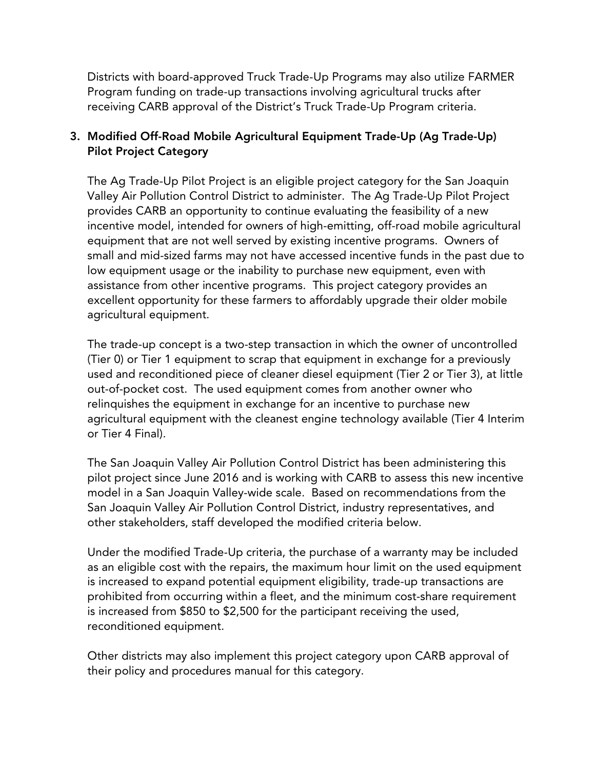Districts with board-approved Truck Trade-Up Programs may also utilize FARMER Program funding on trade-up transactions involving agricultural trucks after receiving CARB approval of the District's Truck Trade-Up Program criteria.

## 3. Modified Off-Road Mobile Agricultural Equipment Trade-Up (Ag Trade-Up) Pilot Project Category

The Ag Trade-Up Pilot Project is an eligible project category for the San Joaquin Valley Air Pollution Control District to administer. The Ag Trade-Up Pilot Project provides CARB an opportunity to continue evaluating the feasibility of a new incentive model, intended for owners of high-emitting, off-road mobile agricultural equipment that are not well served by existing incentive programs. Owners of small and mid-sized farms may not have accessed incentive funds in the past due to low equipment usage or the inability to purchase new equipment, even with assistance from other incentive programs. This project category provides an excellent opportunity for these farmers to affordably upgrade their older mobile agricultural equipment.

The trade-up concept is a two-step transaction in which the owner of uncontrolled (Tier 0) or Tier 1 equipment to scrap that equipment in exchange for a previously used and reconditioned piece of cleaner diesel equipment (Tier 2 or Tier 3), at little out-of-pocket cost. The used equipment comes from another owner who relinquishes the equipment in exchange for an incentive to purchase new agricultural equipment with the cleanest engine technology available (Tier 4 Interim or Tier 4 Final).

The San Joaquin Valley Air Pollution Control District has been administering this pilot project since June 2016 and is working with CARB to assess this new incentive model in a San Joaquin Valley-wide scale. Based on recommendations from the San Joaquin Valley Air Pollution Control District, industry representatives, and other stakeholders, staff developed the modified criteria below.

Under the modified Trade-Up criteria, the purchase of a warranty may be included as an eligible cost with the repairs, the maximum hour limit on the used equipment is increased to expand potential equipment eligibility, trade-up transactions are prohibited from occurring within a fleet, and the minimum cost-share requirement is increased from \$850 to \$2,500 for the participant receiving the used, reconditioned equipment.

Other districts may also implement this project category upon CARB approval of their policy and procedures manual for this category.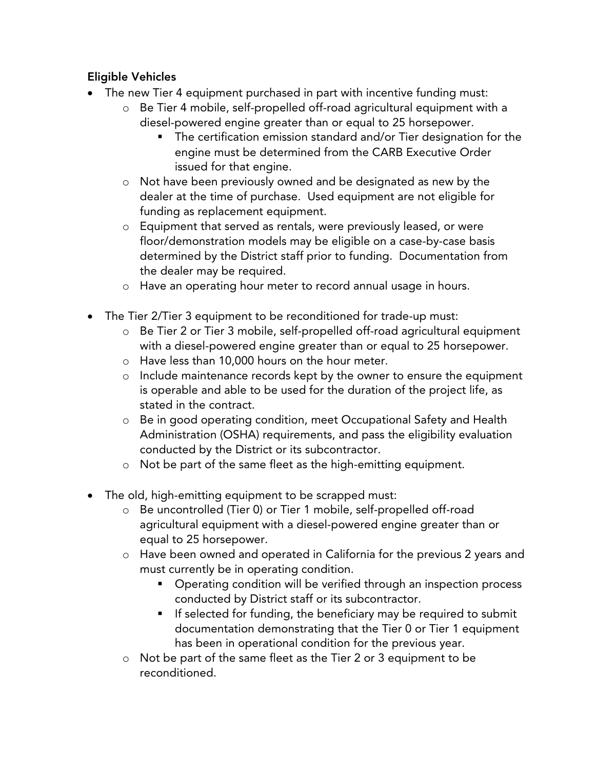# Eligible Vehicles

- The new Tier 4 equipment purchased in part with incentive funding must:
	- o Be Tier 4 mobile, self-propelled off-road agricultural equipment with a diesel-powered engine greater than or equal to 25 horsepower.
		- The certification emission standard and/or Tier designation for the engine must be determined from the CARB Executive Order issued for that engine.
	- o Not have been previously owned and be designated as new by the dealer at the time of purchase. Used equipment are not eligible for funding as replacement equipment.
	- o Equipment that served as rentals, were previously leased, or were floor/demonstration models may be eligible on a case-by-case basis determined by the District staff prior to funding. Documentation from the dealer may be required.
	- o Have an operating hour meter to record annual usage in hours.
- The Tier 2/Tier 3 equipment to be reconditioned for trade-up must:
	- o Be Tier 2 or Tier 3 mobile, self-propelled off-road agricultural equipment with a diesel-powered engine greater than or equal to 25 horsepower.
	- o Have less than 10,000 hours on the hour meter.
	- o Include maintenance records kept by the owner to ensure the equipment is operable and able to be used for the duration of the project life, as stated in the contract.
	- o Be in good operating condition, meet Occupational Safety and Health Administration (OSHA) requirements, and pass the eligibility evaluation conducted by the District or its subcontractor.
	- o Not be part of the same fleet as the high-emitting equipment.
- The old, high-emitting equipment to be scrapped must:
	- o Be uncontrolled (Tier 0) or Tier 1 mobile, self-propelled off-road agricultural equipment with a diesel-powered engine greater than or equal to 25 horsepower.
	- o Have been owned and operated in California for the previous 2 years and must currently be in operating condition.
		- **•** Operating condition will be verified through an inspection process conducted by District staff or its subcontractor.
		- **If selected for funding, the beneficiary may be required to submit** documentation demonstrating that the Tier 0 or Tier 1 equipment has been in operational condition for the previous year.
	- o Not be part of the same fleet as the Tier 2 or 3 equipment to be reconditioned.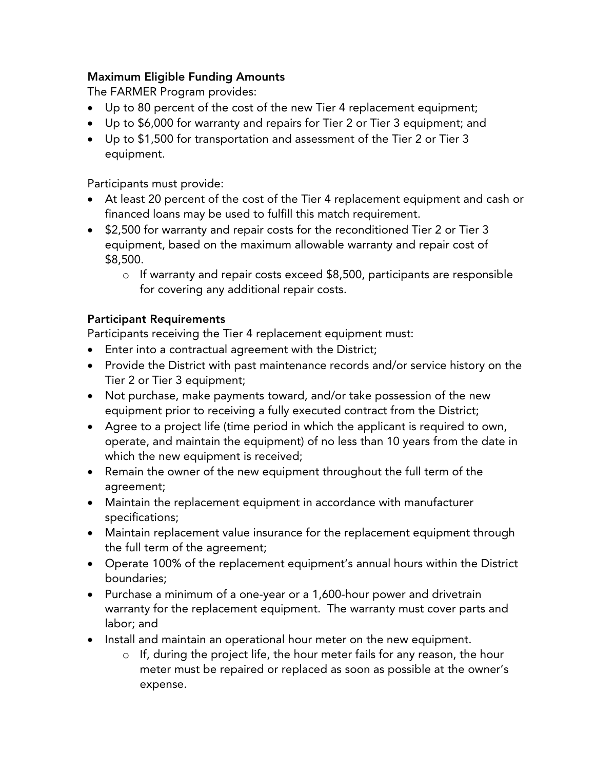#### Maximum Eligible Funding Amounts

The FARMER Program provides:

- Up to 80 percent of the cost of the new Tier 4 replacement equipment;
- Up to \$6,000 for warranty and repairs for Tier 2 or Tier 3 equipment; and
- Up to \$1,500 for transportation and assessment of the Tier 2 or Tier 3 equipment.

Participants must provide:

- At least 20 percent of the cost of the Tier 4 replacement equipment and cash or financed loans may be used to fulfill this match requirement.
- \$2,500 for warranty and repair costs for the reconditioned Tier 2 or Tier 3 equipment, based on the maximum allowable warranty and repair cost of \$8,500.
	- o If warranty and repair costs exceed \$8,500, participants are responsible for covering any additional repair costs.

#### Participant Requirements

Participants receiving the Tier 4 replacement equipment must:

- Enter into a contractual agreement with the District;
- Provide the District with past maintenance records and/or service history on the Tier 2 or Tier 3 equipment;
- Not purchase, make payments toward, and/or take possession of the new equipment prior to receiving a fully executed contract from the District;
- Agree to a project life (time period in which the applicant is required to own, operate, and maintain the equipment) of no less than 10 years from the date in which the new equipment is received;
- Remain the owner of the new equipment throughout the full term of the agreement;
- Maintain the replacement equipment in accordance with manufacturer specifications;
- Maintain replacement value insurance for the replacement equipment through the full term of the agreement;
- Operate 100% of the replacement equipment's annual hours within the District boundaries;
- Purchase a minimum of a one-year or a 1,600-hour power and drivetrain warranty for the replacement equipment. The warranty must cover parts and labor; and
- Install and maintain an operational hour meter on the new equipment.
	- o If, during the project life, the hour meter fails for any reason, the hour meter must be repaired or replaced as soon as possible at the owner's expense.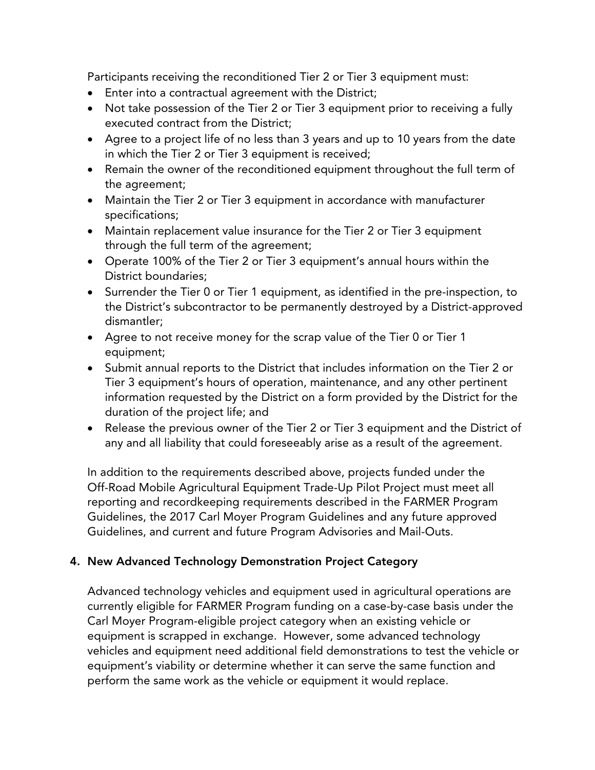Participants receiving the reconditioned Tier 2 or Tier 3 equipment must:

- Enter into a contractual agreement with the District;
- Not take possession of the Tier 2 or Tier 3 equipment prior to receiving a fully executed contract from the District;
- Agree to a project life of no less than 3 years and up to 10 years from the date in which the Tier 2 or Tier 3 equipment is received;
- Remain the owner of the reconditioned equipment throughout the full term of the agreement;
- Maintain the Tier 2 or Tier 3 equipment in accordance with manufacturer specifications;
- Maintain replacement value insurance for the Tier 2 or Tier 3 equipment through the full term of the agreement;
- Operate 100% of the Tier 2 or Tier 3 equipment's annual hours within the District boundaries;
- Surrender the Tier 0 or Tier 1 equipment, as identified in the pre-inspection, to the District's subcontractor to be permanently destroyed by a District-approved dismantler;
- Agree to not receive money for the scrap value of the Tier 0 or Tier 1 equipment;
- Submit annual reports to the District that includes information on the Tier 2 or Tier 3 equipment's hours of operation, maintenance, and any other pertinent information requested by the District on a form provided by the District for the duration of the project life; and
- Release the previous owner of the Tier 2 or Tier 3 equipment and the District of any and all liability that could foreseeably arise as a result of the agreement.

In addition to the requirements described above, projects funded under the Off-Road Mobile Agricultural Equipment Trade-Up Pilot Project must meet all reporting and recordkeeping requirements described in the FARMER Program Guidelines, the 2017 Carl Moyer Program Guidelines and any future approved Guidelines, and current and future Program Advisories and Mail-Outs.

## 4. New Advanced Technology Demonstration Project Category

Advanced technology vehicles and equipment used in agricultural operations are currently eligible for FARMER Program funding on a case-by-case basis under the Carl Moyer Program-eligible project category when an existing vehicle or equipment is scrapped in exchange. However, some advanced technology vehicles and equipment need additional field demonstrations to test the vehicle or equipment's viability or determine whether it can serve the same function and perform the same work as the vehicle or equipment it would replace.